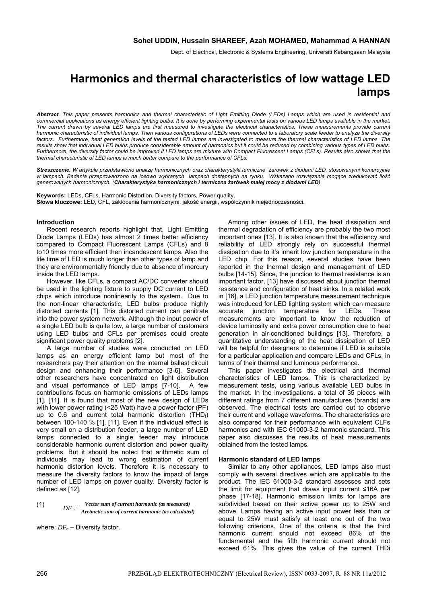Dept. of Electrical, Electronic & Systems Engineering, Universiti Kebangsaan Malaysia

# **Harmonics and thermal characteristics of low wattage LED lamps**

*Abstract. This paper presents harmonics and thermal characteristic of Light Emitting Diode (LEDs) Lamps which are used in residential and commercial applications as energy efficient lighting bulbs. It is done by performing experimental tests on various LED lamps available in the market. The current drawn by several LED lamps are first measured to investigate the electrical characteristics. These measurements provide current harmonic characteristic of individual lamps. Then various configurations of LEDs were connected to a laboratory scale feeder to analyze the diversity*  factors. Furthermore, heat generation levels of the tested LED lamps are investigated to measure the thermal characteristics of LED lamps. The *results show that individual LED bulbs produce considerable amount of harmonics but it could be reduced by combining various types of LED bulbs. Furthermore, the diversity factor could be improved if LED lamps are mixture with Compact Fluorescent Lamps (CFLs). Results also shows that the thermal characteristic of LED lamps is much better compare to the performance of CFLs.* 

*Streszczenie. W artykule przedstawiono analizę harmonicznych oraz charakterystyki termiczne żarówek z diodami LED, stosowanymi komercyjnie w lampach. Badania przeprowadzono na losowo wybranych lampach dostępnych na rynku. Wskazano rozwiązania mogące zredukować ilość generowanych harmonicznych. (Charakterystyka harmonicznych i termiczna żarówek małej mocy z diodami LED)* 

**Keywords:** LEDs, CFLs, Harmonic Distortion, Diversity factors, Power quality. **Słowa kluczowe:** LED, CFL, zakłócenia harmonicznymi, jakość energii, współczynnik niejednoczesności.

## **Introduction**

Recent research reports highlight that, Light Emitting Diode Lamps (LEDs) has almost 2 times better efficiency compared to Compact Fluorescent Lamps (CFLs) and 8 to10 times more efficient then incandescent lamps. Also the life time of LED is much longer than other types of lamp and they are environmentally friendly due to absence of mercury inside the LED lamps.

However, like CFLs, a compact AC/DC converter should be used in the lighting fixture to supply DC current to LED chips which introduce nonlinearity to the system. Due to the non-linear characteristic, LED bulbs produce highly distorted currents [1]. This distorted current can penitrate into the power system network. Although the input power of a single LED bulb is quite low, a large number of customers using LED bulbs and CFLs per premises could create significant power quality problems [2].

A large number of studies were conducted on LED lamps as an energy efficient lamp but most of the researchers pay their attention on the internal ballast circuit design and enhancing their performance [3-6]. Several other researchers have concentrated on light distribution and visual performance of LED lamps [7-10]. A few contributions focus on harmonic emissions of LEDs lamps [1]. [11]. It is found that most of the new design of LEDs with lower power rating (<25 Watt) have a power factor (PF) up to 0.6 and current total harmonic distortion  $(THD<sub>1</sub>)$ between 100-140 % [1], [11]. Even if the individual effect is very small on a distribution feeder, a large number of LED lamps connected to a single feeder may introduce considerable harmonic current distortion and power quality problems. But it should be noted that arithmetic sum of individuals may lead to wrong estimation of current harmonic distortion levels. Therefore it is necessary to measure the diversity factors to know the impact of large number of LED lamps on power quality. Diversity factor is defined as [12],

(1) 
$$
DF_n = \frac{Vector \, sum \, of \, current \, harmonic \, (as \, measured)}{Aretmetic \, sum \, of \, current \, harmonic \, (as \, calculated)}
$$

where:  $DF_n$  – Diversity factor.

Among other issues of LED, the heat dissipation and thermal degradation of efficiency are probably the two most important ones [13]. It is also known that the efficiency and reliability of LED strongly rely on successful thermal dissipation due to it's inherit low junction temperature in the LED chip. For this reason, several studies have been reported in the thermal design and management of LED bulbs [14-15]. Since, the junction to thermal resistance is an important factor, [13] have discussed about junction thermal resistance and configuration of heat sinks. In a related work in [16], a LED junction temperature measurement technique was introduced for LED lighting system which can measure accurate junction temperature for LEDs. These measurements are important to know the reduction of device luminosity and extra power consumption due to heat generation in air-conditioned buildings [13]. Therefore, a quantitative understanding of the heat dissipation of LED will be helpful for designers to determine if LED is suitable for a particular application and compare LEDs and CFLs, in terms of their thermal and luminous performance.

This paper investigates the electrical and thermal characteristics of LED lamps. This is characterized by measurement tests, using various available LED bulbs in the market. In the investigations, a total of 35 pieces with different ratings from 7 different manufactures (brands) are observed. The electrical tests are carried out to observe their current and voltage waveforms. The characteristics are also compared for their performance with equivalent CLFs harmonics and with IEC 61000-3-2 harmonic standard. This paper also discusses the results of heat measurements obtained from the tested lamps.

## **Harmonic standard of LED lamps**

Similar to any other appliances, LED lamps also must comply with several directives which are applicable to the product. The IEC 61000-3-2 standard assesses and sets the limit for equipment that draws input current ≤16A per phase [17-18]. Harmonic emission limits for lamps are subdivided based on their active power up to 25W and above. Lamps having an active input power less than or equal to 25W must satisfy at least one out of the two following criterions. One of the criteria is that the third harmonic current should not exceed 86% of the fundamental and the fifth harmonic current should not exceed 61%. This gives the value of the current THDi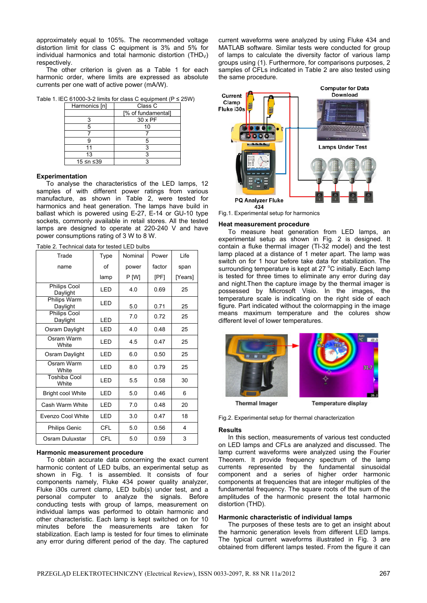approximately equal to 105%. The recommended voltage distortion limit for class C equipment is 3% and 5% for individual harmonics and total harmonic distortion  $(THD<sub>V</sub>)$ respectively.

The other criterion is given as a Table 1 for each harmonic order, where limits are expressed as absolute currents per one watt of active power (mA/W).

Table 1. IEC 61000-3-2 limits for class C equipment (P ≤ 25W)

| Harmonics [n] | Class C            |
|---------------|--------------------|
|               | [% of fundamental] |
|               | $30 \times PF$     |
|               | 10                 |
|               |                    |
|               |                    |
| 11            |                    |
| 13            |                    |
| 15 ≤n ≤39     |                    |

# **Experimentation**

To analyse the characteristics of the LED lamps, 12 samples of with different power ratings from various manufacture, as shown in Table 2, were tested for harmonics and heat generation. The lamps have build in ballast which is powered using E-27, E-14 or GU-10 type sockets, commonly available in retail stores. All the tested lamps are designed to operate at 220-240 V and have power consumptions rating of 3 W to 8 W.

| Trade                        | Type       | Nominal | Power  | Life    |
|------------------------------|------------|---------|--------|---------|
| name                         | οf         | power   | factor | span    |
|                              | lamp       | P [W]   | [PF]   | [Years] |
| Philips Cool<br>Daylight     | LED        | 4.0     | 0.69   | 25      |
| Philips Warm<br>Daylight     | LED        | 5.0     | 0.71   | 25      |
| Philips Cool<br>Daylight     | LED        | 7.0     | 0.72   | 25      |
| Osram Daylight               | LED        | 4.0     | 0.48   | 25      |
| Osram Warm<br>White          | LED        | 4.5     | 0.47   | 25      |
| Osram Daylight               | LED        | 6.0     | 0.50   | 25      |
| Osram Warm<br>White          | LED        | 8.0     | 0.79   | 25      |
| <b>Toshiba Cool</b><br>White | LED        | 5.5     | 0.58   | 30      |
| <b>Bright cool White</b>     | LED        | 5.0     | 0.46   | 6       |
| Cash Warm White              | LED        | 7.0     | 0.48   | 20      |
| Evenzo Cool White            | LED        | 3.0     | 0.47   | 18      |
| Philips Genic                | <b>CFL</b> | 5.0     | 0.56   | 4       |
| Osram Duluxstar              | CFL        | 5.0     | 0.59   | 3       |

Table 2. Technical data for tested LED bulbs

# **Harmonic measurement procedure**

To obtain accurate data concerning the exact current harmonic content of LED bulbs, an experimental setup as shown in Fig. 1 is assembled. It consists of four components namely, Fluke 434 power quality analyzer, Fluke i30s current clamp, LED bulb(s) under test, and a personal computer to analyze the signals. Before conducting tests with group of lamps, measurement on individual lamps was performed to obtain harmonic and other characteristic. Each lamp is kept switched on for 10 minutes before the measurements are taken for stabilization. Each lamp is tested for four times to eliminate any error during different period of the day. The captured

current waveforms were analyzed by using Fluke 434 and MATLAB software. Similar tests were conducted for group of lamps to calculate the diversity factor of various lamp groups using (1). Furthermore, for comparisons purposes, 2 samples of CFLs indicated in Table 2 are also tested using the same procedure.



Fig.1. Experimental setup for harmonics

#### **Heat measurement procedure**

To measure heat generation from LED lamps, an experimental setup as shown in Fig. 2 is designed. It contain a fluke thermal imager (TI-32 model) and the test lamp placed at a distance of 1 meter apart. The lamp was switch on for 1 hour before take data for stabilization. The surrounding temperature is kept at 27 °C initially. Each lamp is tested for three times to eliminate any error during day and night.Then the capture image by the thermal imager is possessed by Microsoft Visio. In the images, the temperature scale is indicating on the right side of each figure. Part indicated without the colormapping in the image means maximum temperature and the colures show different level of lower temperatures.



Fig.2. Experimental setup for thermal characterization

## **Results**

In this section, measurements of various test conducted on LED lamps and CFLs are analyzed and discussed. The lamp current waveforms were analyzed using the Fourier Theorem. It provide frequency spectrum of the lamp currents represented by the fundamental sinusoidal component and a series of higher order harmonic components at frequencies that are integer multiples of the fundamental frequency. The square roots of the sum of the amplitudes of the harmonic present the total harmonic distortion (THD).

## **Harmonic characteristic of individual lamps**

The purposes of these tests are to get an insight about the harmonic generation levels from different LED lamps. The typical current waveforms illustrated in Fig. 3 are obtained from different lamps tested. From the figure it can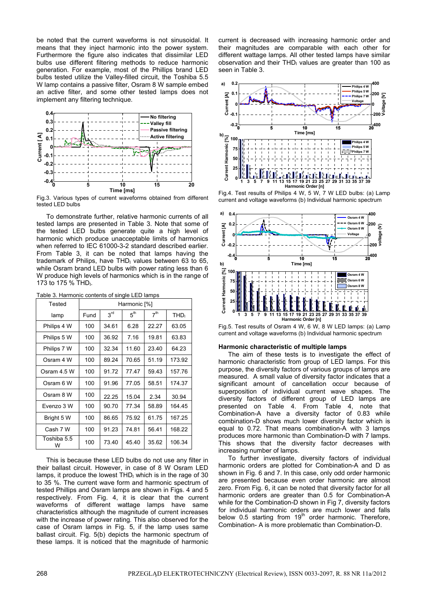be noted that the current waveforms is not sinusoidal. It means that they inject harmonic into the power system. Furthermore the figure also indicates that dissimilar LED bulbs use different filtering methods to reduce harmonic generation. For example, most of the Phillips brand LED bulbs tested utilize the Valley-filled circuit, the Toshiba 5.5 W lamp contains a passive filter, Osram 8 W sample embed an active filter, and some other tested lamps does not implement any filtering technique.



Fig.3. Various types of current waveforms obtained from different tested LED bulbs

To demonstrate further, relative harmonic currents of all tested lamps are presented in Table 3. Note that some of the tested LED bulbs generate quite a high level of harmonic which produce unacceptable limits of harmonics when referred to IEC 61000-3-2 standard described earlier. From Table 3, it can be noted that lamps having the trademark of Philips, have  $THD<sub>l</sub>$  values between 63 to 65, while Osram brand LED bulbs with power rating less than 6 W produce high levels of harmonics which is in the range of 173 to 175  $%$  THD<sub>I</sub>.

| Tested           | Harmonic [%] |                 |                 |                 |                  |
|------------------|--------------|-----------------|-----------------|-----------------|------------------|
| lamp             | Fund         | 3 <sup>rd</sup> | 5 <sup>th</sup> | 7 <sup>th</sup> | THD <sub>I</sub> |
| Philips 4 W      | 100          | 34.61           | 6.28            | 22.27           | 63.05            |
| Philips 5 W      | 100          | 36.92           | 7.16            | 19.81           | 63.83            |
| Philips 7 W      | 100          | 32.34           | 11.60           | 23.40           | 64.23            |
| Osram 4 W        | 100          | 89.24           | 70.65           | 51.19           | 173.92           |
| Osram 4.5 W      | 100          | 91.72           | 77.47           | 59.43           | 157.76           |
| Osram 6 W        | 100          | 91.96           | 77.05           | 58.51           | 174.37           |
| Osram 8 W        | 100          | 22.25           | 15.04           | 2.34            | 30.94            |
| Evenzo 3 W       | 100          | 90.70           | 77.34           | 58.89           | 164.45           |
| Bright 5 W       | 100          | 86.65           | 75.92           | 61.75           | 167.25           |
| Cash 7 W         | 100          | 91.23           | 74.81           | 56.41           | 168.22           |
| Toshiba 5.5<br>w | 100          | 73.40           | 45.40           | 35.62           | 106.34           |

Table 3. Harmonic contents of single LED lamps

This is because these LED bulbs do not use any filter in their ballast circuit. However, in case of 8 W Osram LED lamps, it produce the lowest  $THD<sub>1</sub>$  which is in the rage of 30 to 35 %. The current wave form and harmonic spectrum of tested Phillips and Osram lamps are shown in Figs. 4 and 5 respectively. From Fig. 4, it is clear that the current waveforms of different wattage lamps have same characteristics although the magnitude of current increases with the increase of power rating. This also observed for the case of Osram lamps in Fig. 5, if the lamp uses same ballast circuit. Fig. 5(b) depicts the harmonic spectrum of these lamps. It is noticed that the magnitude of harmonic current is decreased with increasing harmonic order and their magnitudes are comparable with each other for different wattage lamps. All other tested lamps have similar observation and their THD<sub>I</sub> values are greater than 100 as seen in Table 3.



Fig.4. Test results of Philips 4 W, 5 W, 7 W LED bulbs: (a) Lamp current and voltage waveforms (b) Individual harmonic spectrum



Fig.5. Test results of Osram 4 W, 6 W, 8 W LED lamps: (a) Lamp current and voltage waveforms (b) Individual harmonic spectrum

## **Harmonic characteristic of multiple lamps**

The aim of these tests is to investigate the effect of harmonic characteristic from group of LED lamps. For this purpose, the diversity factors of various groups of lamps are measured. A small value of diversity factor indicates that a significant amount of cancellation occur because of superposition of individual current wave shapes. The diversity factors of different group of LED lamps are presented on Table 4. From Table 4, note that Combination-A have a diversity factor of 0.83 while combination-D shows much lower diversity factor which is equal to 0.72. That means combination-A with 3 lamps produces more harmonic than Combination-D with 7 lamps. This shows that the diversity factor decreases with increasing number of lamps.

To further investigate, diversity factors of individual harmonic orders are plotted for Combination-A and D as shown in Fig. 6 and 7. In this case, only odd order harmonic are presented because even order harmonic are almost zero. From Fig. 6, it can be noted that diversity factor for all harmonic orders are greater than 0.5 for Combination-A while for the Combination-D shown in Fig 7, diversity factors for individual harmonic orders are much lower and falls below  $0.5$  starting from  $19<sup>th</sup>$  order harmonic. Therefore, Combination- A is more problematic than Combination-D.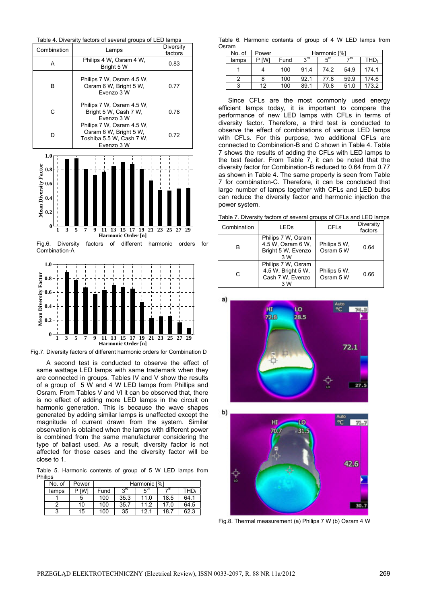



A second test is conducted to observe the effect of same wattage LED lamps with same trademark when they are connected in groups. Tables IV and V show the results of a group of 5 W and 4 W LED lamps from Phillips and Osram. From Tables V and VI it can be observed that, there is no effect of adding more LED lamps in the circuit on harmonic generation. This is because the wave shapes generated by adding similar lamps is unaffected except the magnitude of current drawn from the system. Similar observation is obtained when the lamps with different power is combined from the same manufacturer considering the type of ballast used. As a result, diversity factor is not affected for those cases and the diversity factor will be close to 1.

Table 5. Harmonic contents of group of 5 W LED lamps from Philips

| No. of | Power |      |            | Harmonic [%] |      |      |
|--------|-------|------|------------|--------------|------|------|
| lamps  | [W]   | Fund | <b>2rd</b> | $F_{\rm up}$ | →th  | THD, |
|        | 5     | 100  | 35.3       | 11.0         | 18.5 | 64.1 |
|        | 10    | 100  | 35.7       | 11.2         | 17.0 | 64.5 |
| ຈ      | 15    | 100  | 35         | 12.1         | 18.7 | 62.3 |

Table 6. Harmonic contents of group of 4 W LED lamps from Osram

| No. of | Power |      |            | Harmonic [%] |      |       |
|--------|-------|------|------------|--------------|------|-------|
| lamps  | P IWI | Fund | <b>2rd</b> | ົ່⊾ີ         | ⊸th  | THD.  |
|        |       | 100  | 91.4       | 74.2         | 54.9 | 174.1 |
|        |       | 100  | 92.1       | 77.8         | 59.9 | 174.6 |
| ີ      | 12    | 100  | 89.1       | 70.8         | 51.0 | 173.2 |

Since CFLs are the most commonly used energy efficient lamps today, it is important to compare the performance of new LED lamps with CFLs in terms of diversity factor. Therefore, a third test is conducted to observe the effect of combinations of various LED lamps with CFLs. For this purpose, two additional CFLs are connected to Combination-B and C shown in Table 4. Table 7 shows the results of adding the CFLs with LED lamps to the test feeder. From Table 7, it can be noted that the diversity factor for Combination-B reduced to 0.64 from 0.77 as shown in Table 4. The same property is seen from Table 7 for combination-C. Therefore, it can be concluded that large number of lamps together with CFLs and LED bulbs can reduce the diversity factor and harmonic injection the power system.

|  |  |  | Table 7. Diversity factors of several groups of CFLs and LED lamps |
|--|--|--|--------------------------------------------------------------------|
|  |  |  |                                                                    |

| Combination | <b>LED<sub>s</sub></b>                                               | <b>CFL<sub>s</sub></b>    | Diversity<br>factors |
|-------------|----------------------------------------------------------------------|---------------------------|----------------------|
| в           | Philips 7 W, Osram<br>4.5 W, Osram 6 W,<br>Bright 5 W, Evenzo<br>3 W | Philips 5 W.<br>Osram 5 W | 0.64                 |
| С           | Philips 7 W, Osram<br>4.5 W, Bright 5 W,<br>Cash 7 W, Evenzo<br>3 W  | Philips 5 W,<br>Osram 5 W | 0.66                 |





Fig.8. Thermal measurement (a) Philips 7 W (b) Osram 4 W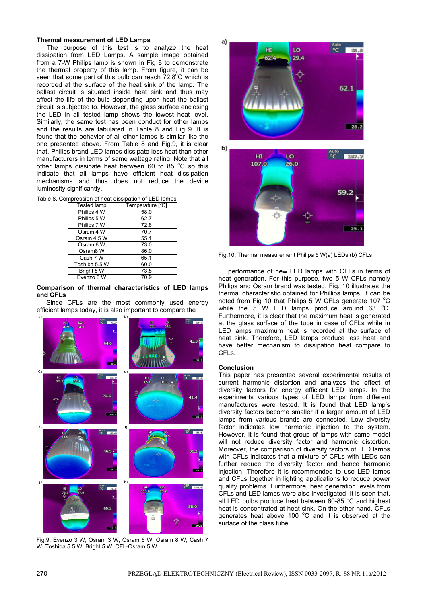## **Thermal measurement of LED Lamps**

The purpose of this test is to analyze the heat dissipation from LED Lamps. A sample image obtained from a 7-W Philips lamp is shown in Fig 8 to demonstrate the thermal property of this lamp. From figure, it can be seen that some part of this bulb can reach  $72.8^{\circ}$ C which is recorded at the surface of the heat sink of the lamp. The ballast circuit is situated inside heat sink and thus may affect the life of the bulb depending upon heat the ballast circuit is subjected to. However, the glass surface enclosing the LED in all tested lamp shows the lowest heat level. Similarly, the same test has been conduct for other lamps and the results are tabulated in Table 8 and Fig 9. It is found that the behavior of all other lamps is similar like the one presented above. From Table 8 and Fig.9, it is clear that, Philips brand LED lamps dissipate less heat than other manufacturers in terms of same wattage rating. Note that all other lamps dissipate heat between 60 to 85  $^{\circ}$ C so this indicate that all lamps have efficient heat dissipation mechanisms and thus does not reduce the device luminosity significantly.

|  | Table 8. Compression of heat dissipation of LED lamps |  |  |  |  |
|--|-------------------------------------------------------|--|--|--|--|
|--|-------------------------------------------------------|--|--|--|--|

| <b>Tested lamp</b> | Temperature [°C] |
|--------------------|------------------|
| Philips 4 W        | 58.0             |
| Philips 5 W        | 62.7             |
| Philips 7 W        | 72.8             |
| Osram 4 W          | 70.7             |
| Osram 4.5 W        | 55.1             |
| Osram 6 W          | 73.0             |
| Osram8 W           | 86.0             |
| Cash 7 W           | 65.1             |
| Toshiba 5.5 W      | 60.0             |
| Bright 5 W         | 73.5             |
| Evenzo 3 W         | 70.9             |

# **Comparison of thermal characteristics of LED lamps and CFLs**

Since CFLs are the most commonly used energy efficient lamps today, it is also important to compare the



Fig.9. Evenzo 3 W, Osram 3 W, Osram 6 W, Osram 8 W, Cash 7 W, Toshiba 5.5 W, Bright 5 W, CFL-Osram 5 W



Fig.10. Thermal measurement Philips 5 W(a) LEDs (b) CFLs

performance of new LED lamps with CFLs in terms of heat generation. For this purpose, two 5 W CFLs namely Philips and Osram brand was tested. Fig. 10 illustrates the thermal characteristic obtained for Phillips lamps. It can be noted from Fig 10 that Philips 5 W CFLs generate 107 °C while the  $5\,$  W LED lamps produce around 63  $^{\circ}$ C. Furthermore, it is clear that the maximum heat is generated at the glass surface of the tube in case of CFLs while in LED lamps maximum heat is recorded at the surface of heat sink. Therefore, LED lamps produce less heat and have better mechanism to dissipation heat compare to CFLs.

# **Conclusion**

This paper has presented several experimental results of current harmonic distortion and analyzes the effect of diversity factors for energy efficient LED lamps. In the experiments various types of LED lamps from different manufactures were tested. It is found that LED lamp's diversity factors become smaller if a larger amount of LED lamps from various brands are connected. Low diversity factor indicates low harmonic injection to the system. However, it is found that group of lamps with same model will not reduce diversity factor and harmonic distortion. Moreover, the comparison of diversity factors of LED lamps with CFLs indicates that a mixture of CFLs with LEDs can further reduce the diversity factor and hence harmonic injection. Therefore it is recommended to use LED lamps and CFLs together in lighting applications to reduce power quality problems. Furthermore, heat generation levels from CFLs and LED lamps were also investigated. It is seen that, all LED bulbs produce heat between  $60-85$  °C and highest heat is concentrated at heat sink. On the other hand, CFLs generates heat above 100 $\degree$ C and it is observed at the surface of the class tube.